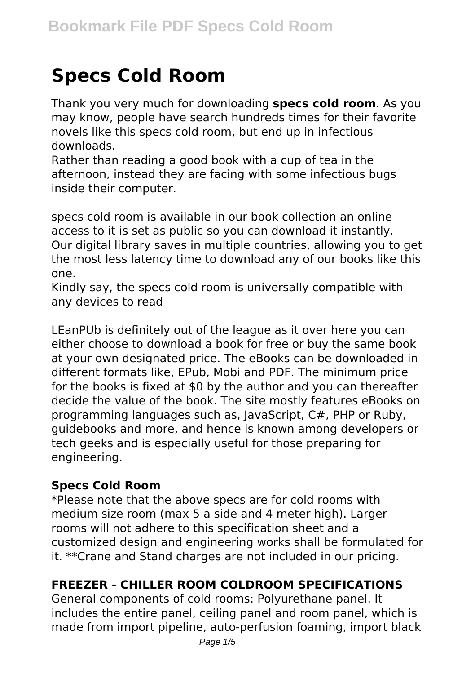# **Specs Cold Room**

Thank you very much for downloading **specs cold room**. As you may know, people have search hundreds times for their favorite novels like this specs cold room, but end up in infectious downloads.

Rather than reading a good book with a cup of tea in the afternoon, instead they are facing with some infectious bugs inside their computer.

specs cold room is available in our book collection an online access to it is set as public so you can download it instantly. Our digital library saves in multiple countries, allowing you to get the most less latency time to download any of our books like this one.

Kindly say, the specs cold room is universally compatible with any devices to read

LEanPUb is definitely out of the league as it over here you can either choose to download a book for free or buy the same book at your own designated price. The eBooks can be downloaded in different formats like, EPub, Mobi and PDF. The minimum price for the books is fixed at \$0 by the author and you can thereafter decide the value of the book. The site mostly features eBooks on programming languages such as, JavaScript, C#, PHP or Ruby, guidebooks and more, and hence is known among developers or tech geeks and is especially useful for those preparing for engineering.

# **Specs Cold Room**

\*Please note that the above specs are for cold rooms with medium size room (max 5 a side and 4 meter high). Larger rooms will not adhere to this specification sheet and a customized design and engineering works shall be formulated for it. \*\*Crane and Stand charges are not included in our pricing.

# **FREEZER - CHILLER ROOM COLDROOM SPECIFICATIONS**

General components of cold rooms: Polyurethane panel. It includes the entire panel, ceiling panel and room panel, which is made from import pipeline, auto-perfusion foaming, import black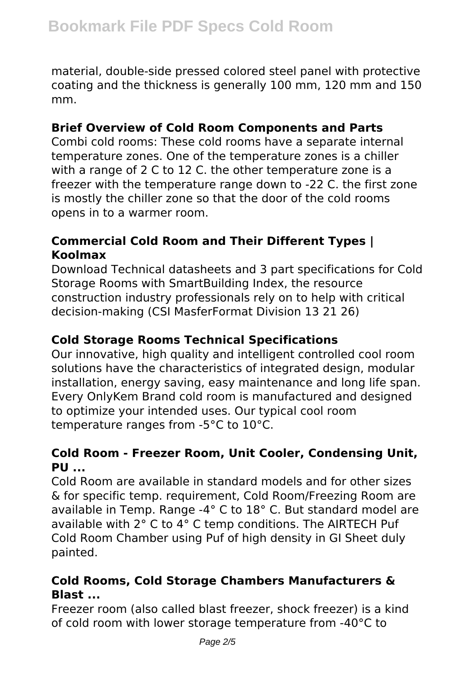material, double-side pressed colored steel panel with protective coating and the thickness is generally 100 mm, 120 mm and 150 mm.

# **Brief Overview of Cold Room Components and Parts**

Combi cold rooms: These cold rooms have a separate internal temperature zones. One of the temperature zones is a chiller with a range of 2 C to 12 C. the other temperature zone is a freezer with the temperature range down to -22 C. the first zone is mostly the chiller zone so that the door of the cold rooms opens in to a warmer room.

#### **Commercial Cold Room and Their Different Types | Koolmax**

Download Technical datasheets and 3 part specifications for Cold Storage Rooms with SmartBuilding Index, the resource construction industry professionals rely on to help with critical decision-making (CSI MasferFormat Division 13 21 26)

### **Cold Storage Rooms Technical Specifications**

Our innovative, high quality and intelligent controlled cool room solutions have the characteristics of integrated design, modular installation, energy saving, easy maintenance and long life span. Every OnlyKem Brand cold room is manufactured and designed to optimize your intended uses. Our typical cool room temperature ranges from -5°C to 10°C.

#### **Cold Room - Freezer Room, Unit Cooler, Condensing Unit, PU ...**

Cold Room are available in standard models and for other sizes & for specific temp. requirement, Cold Room/Freezing Room are available in Temp. Range -4° C to 18° C. But standard model are available with 2° C to 4° C temp conditions. The AIRTECH Puf Cold Room Chamber using Puf of high density in GI Sheet duly painted.

#### **Cold Rooms, Cold Storage Chambers Manufacturers & Blast ...**

Freezer room (also called blast freezer, shock freezer) is a kind of cold room with lower storage temperature from -40°C to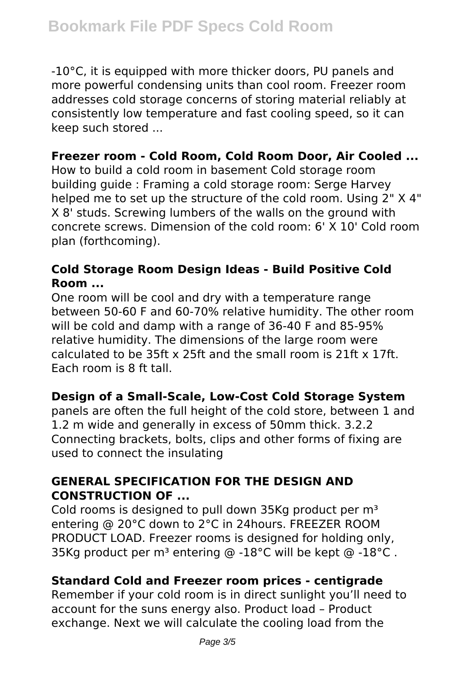-10°C, it is equipped with more thicker doors, PU panels and more powerful condensing units than cool room. Freezer room addresses cold storage concerns of storing material reliably at consistently low temperature and fast cooling speed, so it can keep such stored ...

#### **Freezer room - Cold Room, Cold Room Door, Air Cooled ...**

How to build a cold room in basement Cold storage room building guide : Framing a cold storage room: Serge Harvey helped me to set up the structure of the cold room. Using 2" X 4" X 8' studs. Screwing lumbers of the walls on the ground with concrete screws. Dimension of the cold room: 6' X 10' Cold room plan (forthcoming).

#### **Cold Storage Room Design Ideas - Build Positive Cold Room ...**

One room will be cool and dry with a temperature range between 50-60 F and 60-70% relative humidity. The other room will be cold and damp with a range of 36-40 F and 85-95% relative humidity. The dimensions of the large room were calculated to be 35ft x 25ft and the small room is 21ft x 17ft. Each room is 8 ft tall.

#### **Design of a Small-Scale, Low-Cost Cold Storage System**

panels are often the full height of the cold store, between 1 and 1.2 m wide and generally in excess of 50mm thick. 3.2.2 Connecting brackets, bolts, clips and other forms of fixing are used to connect the insulating

#### **GENERAL SPECIFICATION FOR THE DESIGN AND CONSTRUCTION OF ...**

Cold rooms is designed to pull down  $35$ Kg product per m<sup>3</sup> entering @ 20°C down to 2°C in 24hours. FREEZER ROOM PRODUCT LOAD. Freezer rooms is designed for holding only, 35Kg product per m<sup>3</sup> entering  $\omega$  -18°C will be kept  $\omega$  -18°C.

#### **Standard Cold and Freezer room prices - centigrade**

Remember if your cold room is in direct sunlight you'll need to account for the suns energy also. Product load – Product exchange. Next we will calculate the cooling load from the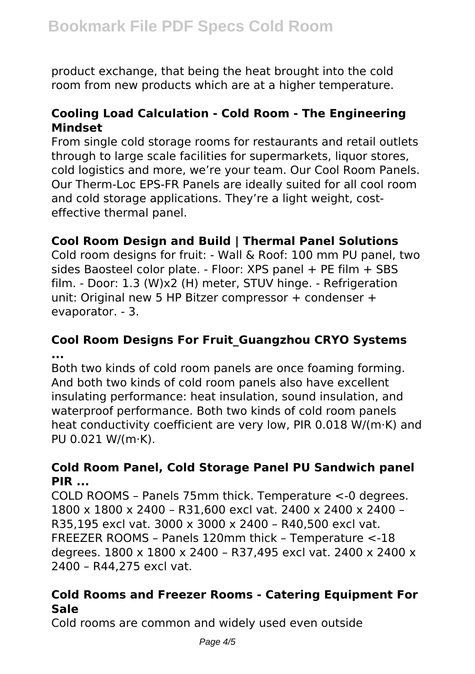product exchange, that being the heat brought into the cold room from new products which are at a higher temperature.

#### **Cooling Load Calculation - Cold Room - The Engineering Mindset**

From single cold storage rooms for restaurants and retail outlets through to large scale facilities for supermarkets, liquor stores, cold logistics and more, we're your team. Our Cool Room Panels. Our Therm-Loc EPS-FR Panels are ideally suited for all cool room and cold storage applications. They're a light weight, costeffective thermal panel.

#### **Cool Room Design and Build | Thermal Panel Solutions**

Cold room designs for fruit: - Wall & Roof: 100 mm PU panel, two sides Baosteel color plate. - Floor: XPS panel + PE film + SBS film. - Door: 1.3 (W)x2 (H) meter, STUV hinge. - Refrigeration unit: Original new 5 HP Bitzer compressor + condenser + evaporator. - 3.

#### **Cool Room Designs For Fruit\_Guangzhou CRYO Systems ...**

Both two kinds of cold room panels are once foaming forming. And both two kinds of cold room panels also have excellent insulating performance: heat insulation, sound insulation, and waterproof performance. Both two kinds of cold room panels heat conductivity coefficient are very low, PIR 0.018 W/(m·K) and PU 0.021 W/(m·K).

#### **Cold Room Panel, Cold Storage Panel PU Sandwich panel PIR ...**

COLD ROOMS – Panels 75mm thick. Temperature <-0 degrees. 1800 x 1800 x 2400 – R31,600 excl vat. 2400 x 2400 x 2400 – R35,195 excl vat. 3000 x 3000 x 2400 – R40,500 excl vat. FREEZER ROOMS – Panels 120mm thick – Temperature <-18 degrees. 1800 x 1800 x 2400 – R37,495 excl vat. 2400 x 2400 x 2400 – R44,275 excl vat.

# **Cold Rooms and Freezer Rooms - Catering Equipment For Sale**

Cold rooms are common and widely used even outside